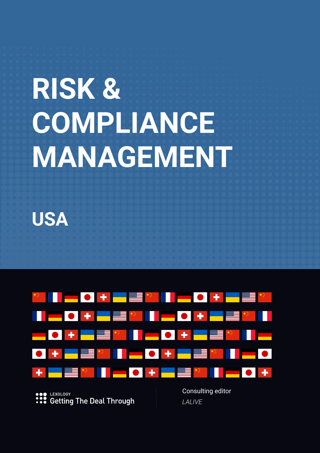# **RISK & COMPLIANCE MANAGEMENT**

**USA**

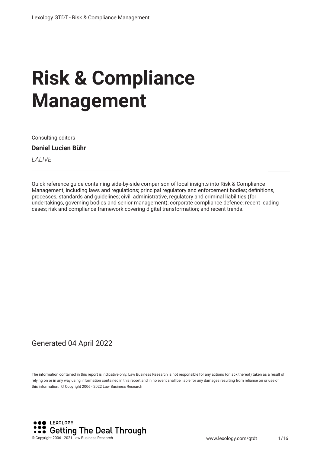# **Risk & Compliance Management**

Consulting editors

#### **Daniel Lucien Bühr**

*LALIVE*

Quick reference guide containing side-by-side comparison of local insights into Risk & Compliance Management, including laws and regulations; principal regulatory and enforcement bodies; defnitions, processes, standards and guidelines; civil, administrative, regulatory and criminal liabilities (for undertakings, governing bodies and senior management); corporate compliance defence; recent leading cases; risk and compliance framework covering digital transformation; and recent trends.

#### Generated 04 April 2022

The information contained in this report is indicative only. Law Business Research is not responsible for any actions (or lack thereof) taken as a result of relying on or in any way using information contained in this report and in no event shall be liable for any damages resulting from reliance on or use of this information. © Copyright 2006 - 2022 Law Business Research

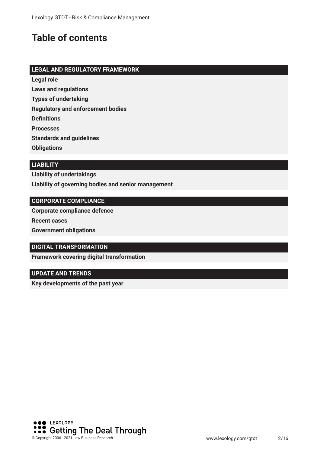## **Table of contents**

#### **LEGAL AND REGULATORY FRAMEWORK**

**Legal role**

**Laws and regulations**

**Types of undertaking**

**Regulatory and enforcement bodies**

**Defnitions**

**Processes**

**Standards and guidelines**

**Obligations**

#### **LIABILITY**

**Liability of undertakings Liability of governing bodies and senior management**

#### **CORPORATE COMPLIANCE**

**Corporate compliance defence**

**Recent cases**

**Government obligations**

#### **DIGITAL TRANSFORMATION**

**Framework covering digital transformation**

#### **UPDATE AND TRENDS**

**Key developments of the past year**

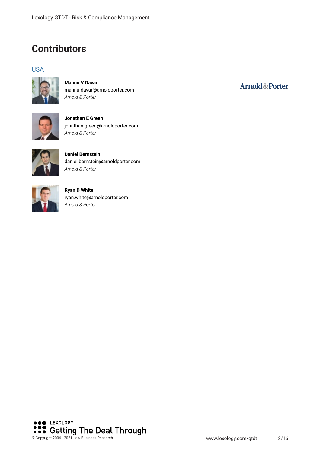## **Contributors**

#### USA



**Mahnu V Davar** mahnu.davar@arnoldporter.com *Arnold & Porter*



**Jonathan E Green** jonathan.green@arnoldporter.com *Arnold & Porter*



**Daniel Bernstein** daniel.bernstein@arnoldporter.com *Arnold & Porter*



**Ryan D White** ryan.white@arnoldporter.com *Arnold & Porter*



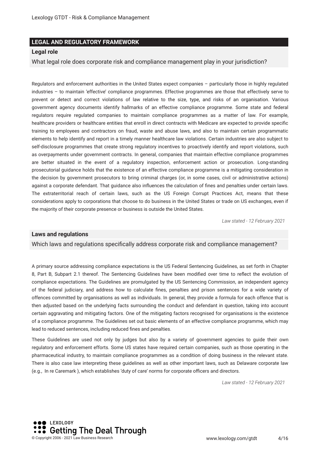#### **LEGAL AND REGULATORY FRAMEWORK**

#### **Legal role**

What legal role does corporate risk and compliance management play in your jurisdiction?

Regulators and enforcement authorities in the United States expect companies – particularly those in highly regulated industries – to maintain 'effective' compliance programmes. Effective programmes are those that effectively serve to prevent or detect and correct violations of law relative to the size, type, and risks of an organisation. Various government agency documents identify hallmarks of an effective compliance programme. Some state and federal regulators require regulated companies to maintain compliance programmes as a matter of law. For example, healthcare providers or healthcare entities that enroll in direct contracts with Medicare are expected to provide specifc training to employees and contractors on fraud, waste and abuse laws, and also to maintain certain programmatic elements to help identify and report in a timely manner healthcare law violations. Certain industries are also subject to self-disclosure programmes that create strong regulatory incentives to proactively identify and report violations, such as overpayments under government contracts. In general, companies that maintain effective compliance programmes are better situated in the event of a regulatory inspection, enforcement action or prosecution. Long-standing prosecutorial guidance holds that the existence of an effective compliance programme is a mitigating consideration in the decision by government prosecutors to bring criminal charges (or, in some cases, civil or administrative actions) against a corporate defendant. That guidance also infuences the calculation of fnes and penalties under certain laws. The extraterritorial reach of certain laws, such as the US Foreign Corrupt Practices Act, means that these considerations apply to corporations that choose to do business in the United States or trade on US exchanges, even if the majority of their corporate presence or business is outside the United States.

*Law stated - 12 February 2021*

#### **Laws and regulations**

Which laws and regulations specifcally address corporate risk and compliance management?

A primary source addressing compliance expectations is the US Federal Sentencing Guidelines, as set forth in Chapter 8, Part B, Subpart 2.1 thereof. The Sentencing Guidelines have been modifed over time to refect the evolution of compliance expectations. The Guidelines are promulgated by the US Sentencing Commission, an independent agency of the federal judiciary, and address how to calculate fnes, penalties and prison sentences for a wide variety of offences committed by organisations as well as individuals. In general, they provide a formula for each offence that is then adjusted based on the underlying facts surrounding the conduct and defendant in question, taking into account certain aggravating and mitigating factors. One of the mitigating factors recognised for organisations is the existence of a compliance programme. The Guidelines set out basic elements of an effective compliance programme, which may lead to reduced sentences, including reduced fnes and penalties.

These Guidelines are used not only by judges but also by a variety of government agencies to guide their own regulatory and enforcement efforts. Some US states have required certain companies, such as those operating in the pharmaceutical industry, to maintain compliance programmes as a condition of doing business in the relevant state. There is also case law interpreting these guidelines as well as other important laws, such as Delaware corporate law (e.g., In re Caremark ), which establishes 'duty of care' norms for corporate officers and directors.

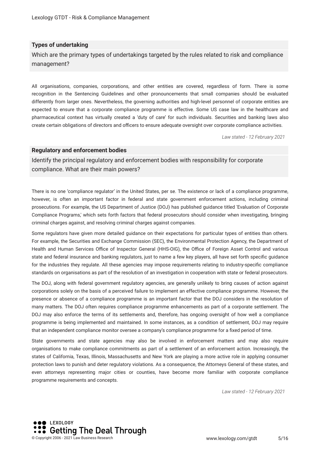#### **Types of undertaking**

Which are the primary types of undertakings targeted by the rules related to risk and compliance management?

All organisations, companies, corporations, and other entities are covered, regardless of form. There is some recognition in the Sentencing Guidelines and other pronouncements that small companies should be evaluated differently from larger ones. Nevertheless, the governing authorities and high-level personnel of corporate entities are expected to ensure that a corporate compliance programme is effective. Some US case law in the healthcare and pharmaceutical context has virtually created a 'duty of care' for such individuals. Securities and banking laws also create certain obligations of directors and officers to ensure adequate oversight over corporate compliance activities.

*Law stated - 12 February 2021*

#### **Regulatory and enforcement bodies**

Identify the principal regulatory and enforcement bodies with responsibility for corporate compliance. What are their main powers?

There is no one 'compliance regulator' in the United States, per se. The existence or lack of a compliance programme, however, is often an important factor in federal and state government enforcement actions, including criminal prosecutions. For example, the US Department of Justice (DOJ) has published guidance titled 'Evaluation of Corporate Compliance Programs,' which sets forth factors that federal prosecutors should consider when investigating, bringing criminal charges against, and resolving criminal charges against companies.

Some regulators have given more detailed guidance on their expectations for particular types of entities than others. For example, the Securities and Exchange Commission (SEC), the Environmental Protection Agency, the Department of Health and Human Services Office of Inspector General (HHS-OIG), the Office of Foreign Asset Control and various state and federal insurance and banking regulators, just to name a few key players, all have set forth specifc guidance for the industries they regulate. All these agencies may impose requirements relating to industry-specifc compliance standards on organisations as part of the resolution of an investigation in cooperation with state or federal prosecutors.

The DOJ, along with federal government regulatory agencies, are generally unlikely to bring causes of action against corporations solely on the basis of a perceived failure to implement an effective compliance programme. However, the presence or absence of a compliance programme is an important factor that the DOJ considers in the resolution of many matters. The DOJ often requires compliance programme enhancements as part of a corporate settlement. The DOJ may also enforce the terms of its settlements and, therefore, has ongoing oversight of how well a compliance programme is being implemented and maintained. In some instances, as a condition of settlement, DOJ may require that an independent compliance monitor oversee a company's compliance programme for a fxed period of time.

State governments and state agencies may also be involved in enforcement matters and may also require organisations to make compliance commitments as part of a settlement of an enforcement action. Increasingly, the states of California, Texas, Illinois, Massachusetts and New York are playing a more active role in applying consumer protection laws to punish and deter regulatory violations. As a consequence, the Attorneys General of these states, and even attorneys representing major cities or counties, have become more familiar with corporate compliance programme requirements and concepts.

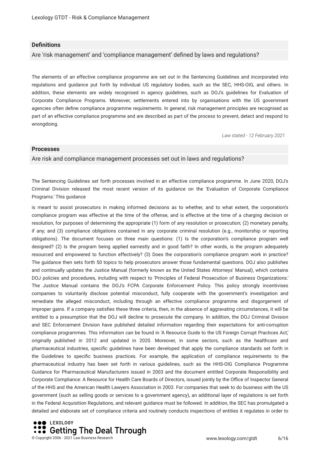#### **Defnitions**

Are 'risk management' and 'compliance management' defned by laws and regulations?

The elements of an effective compliance programme are set out in the Sentencing Guidelines and incorporated into regulations and guidance put forth by individual US regulatory bodies, such as the SEC, HHS-OIG, and others. In addition, these elements are widely recognised in agency guidelines, such as DOJ's guidelines for Evaluation of Corporate Compliance Programs. Moreover, settlements entered into by organisations with the US government agencies often defne compliance programme requirements. In general, risk management principles are recognised as part of an effective compliance programme and are described as part of the process to prevent, detect and respond to wrongdoing.

*Law stated - 12 February 2021*

#### **Processes**

#### Are risk and compliance management processes set out in laws and regulations?

The Sentencing Guidelines set forth processes involved in an effective compliance programme. In June 2020, DOJ's Criminal Division released the most recent version of its guidance on the 'Evaluation of Corporate Compliance Programs.' This guidance

is meant to assist prosecutors in making informed decisions as to whether, and to what extent, the corporation's compliance program was effective at the time of the offense, and is effective at the time of a charging decision or resolution, for purposes of determining the appropriate (1) form of any resolution or prosecution; (2) monetary penalty, if any; and (3) compliance obligations contained in any corporate criminal resolution (e.g., monitorship or reporting obligations). The document focuses on three main questions: (1) Is the corporation's compliance program well designed? (2) Is the program being applied earnestly and in good faith? In other words, is the program adequately resourced and empowered to function effectively? (3) Does the corporation's compliance program work in practice? The guidance then sets forth 50 topics to help prosecutors answer those fundamental questions. DOJ also publishes and continually updates the Justice Manual (formerly known as the United States Attorneys' Manual), which contains DOJ policies and procedures, including with respect to 'Principles of Federal Prosecution of Business Organizations.' The Justice Manual contains the DOJ's FCPA Corporate Enforcement Policy. This policy strongly incentivises companies to voluntarily disclose potential misconduct, fully cooperate with the government's investigation and remediate the alleged misconduct, including through an effective compliance programme and disgorgement of improper gains. If a company satisfes these three criteria, then, in the absence of aggravating circumstances, it will be entitled to a presumption that the DOJ will decline to prosecute the company. In addition, the DOJ Criminal Division and SEC Enforcement Division have published detailed information regarding their expectations for anti-corruption compliance programmes. This information can be found in 'A Resource Guide to the US Foreign Corrupt Practices Act,' originally published in 2012 and updated in 2020. Moreover, in some sectors, such as the healthcare and pharmaceutical industries, specifc guidelines have been developed that apply the compliance standards set forth in the Guidelines to specifc business practices. For example, the application of compliance requirements to the pharmaceutical industry has been set forth in various guidelines, such as the HHS-OIG Compliance Programme Guidance for Pharmaceutical Manufacturers issued in 2003 and the document entitled Corporate Responsibility and Corporate Compliance: A Resource for Health Care Boards of Directors, issued jointly by the Office of Inspector General of the HHS and the American Health Lawyers Association in 2003. For companies that seek to do business with the US government (such as selling goods or services to a government agency), an additional layer of regulations is set forth in the Federal Acquisition Regulations, and relevant guidance must be followed. In addition, the SEC has promulgated a detailed and elaborate set of compliance criteria and routinely conducts inspections of entities it regulates in order to

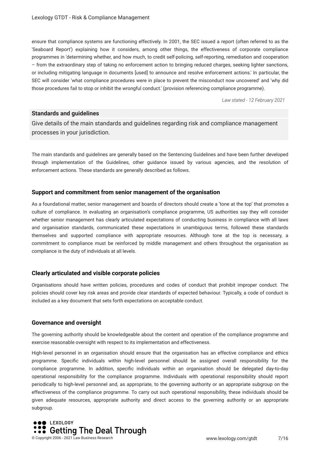ensure that compliance systems are functioning effectively. In 2001, the SEC issued a report (often referred to as the 'Seaboard Report') explaining how it considers, among other things, the effectiveness of corporate compliance programmes in 'determining whether, and how much, to credit self-policing, self-reporting, remediation and cooperation – from the extraordinary step of taking no enforcement action to bringing reduced charges, seeking lighter sanctions, or including mitigating language in documents [used] to announce and resolve enforcement actions.' In particular, the SEC will consider 'what compliance procedures were in place to prevent the misconduct now uncovered' and 'why did those procedures fail to stop or inhibit the wrongful conduct.' (provision referencing compliance programme).

*Law stated - 12 February 2021*

#### **Standards and guidelines**

Give details of the main standards and guidelines regarding risk and compliance management processes in your jurisdiction.

The main standards and guidelines are generally based on the Sentencing Guidelines and have been further developed through implementation of the Guidelines, other guidance issued by various agencies, and the resolution of enforcement actions. These standards are generally described as follows.

#### **Support and commitment from senior management of the organisation**

As a foundational matter, senior management and boards of directors should create a 'tone at the top' that promotes a culture of compliance. In evaluating an organisation's compliance programme, US authorities say they will consider whether senior management has clearly articulated expectations of conducting business in compliance with all laws and organisation standards, communicated these expectations in unambiguous terms, followed these standards themselves and supported compliance with appropriate resources. Although tone at the top is necessary, a commitment to compliance must be reinforced by middle management and others throughout the organisation as compliance is the duty of individuals at all levels.

#### **Clearly articulated and visible corporate policies**

Organisations should have written policies, procedures and codes of conduct that prohibit improper conduct. The policies should cover key risk areas and provide clear standards of expected behaviour. Typically, a code of conduct is included as a key document that sets forth expectations on acceptable conduct.

#### **Governance and oversight**

The governing authority should be knowledgeable about the content and operation of the compliance programme and exercise reasonable oversight with respect to its implementation and effectiveness.

High-level personnel in an organisation should ensure that the organisation has an effective compliance and ethics programme. Specifc individuals within high-level personnel should be assigned overall responsibility for the compliance programme. In addition, specifc individuals within an organisation should be delegated day-to-day operational responsibility for the compliance programme. Individuals with operational responsibility should report periodically to high-level personnel and, as appropriate, to the governing authority or an appropriate subgroup on the effectiveness of the compliance programme. To carry out such operational responsibility, these individuals should be given adequate resources, appropriate authority and direct access to the governing authority or an appropriate subgroup.

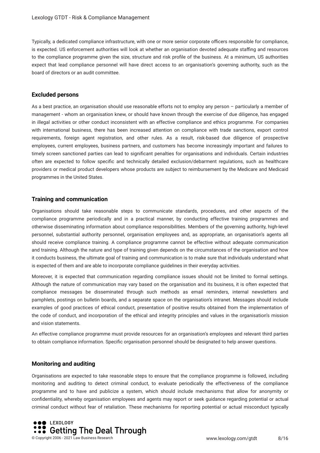Typically, a dedicated compliance infrastructure, with one or more senior corporate officers responsible for compliance, is expected. US enforcement authorities will look at whether an organisation devoted adequate stafng and resources to the compliance programme given the size, structure and risk profle of the business. At a minimum, US authorities expect that lead compliance personnel will have direct access to an organisation's governing authority, such as the board of directors or an audit committee.

#### **Excluded persons**

As a best practice, an organisation should use reasonable efforts not to employ any person – particularly a member of management - whom an organisation knew, or should have known through the exercise of due diligence, has engaged in illegal activities or other conduct inconsistent with an effective compliance and ethics programme. For companies with international business, there has been increased attention on compliance with trade sanctions, export control requirements, foreign agent registration, and other rules. As a result, risk-based due diligence of prospective employees, current employees, business partners, and customers has become increasingly important and failures to timely screen sanctioned parties can lead to signifcant penalties for organisations and individuals. Certain industries often are expected to follow specifc and technically detailed exclusion/debarment regulations, such as healthcare providers or medical product developers whose products are subject to reimbursement by the Medicare and Medicaid programmes in the United States.

#### **Training and communication**

Organisations should take reasonable steps to communicate standards, procedures, and other aspects of the compliance programme periodically and in a practical manner, by conducting effective training programmes and otherwise disseminating information about compliance responsibilities. Members of the governing authority, high-level personnel, substantial authority personnel, organisation employees and, as appropriate, an organisation's agents all should receive compliance training. A compliance programme cannot be effective without adequate communication and training. Although the nature and type of training given depends on the circumstances of the organisation and how it conducts business, the ultimate goal of training and communication is to make sure that individuals understand what is expected of them and are able to incorporate compliance guidelines in their everyday activities.

Moreover, it is expected that communication regarding compliance issues should not be limited to formal settings. Although the nature of communication may vary based on the organisation and its business, it is often expected that compliance messages be disseminated through such methods as email reminders, internal newsletters and pamphlets, postings on bulletin boards, and a separate space on the organisation's intranet. Messages should include examples of good practices of ethical conduct, presentation of positive results obtained from the implementation of the code of conduct, and incorporation of the ethical and integrity principles and values in the organisation's mission and vision statements.

An effective compliance programme must provide resources for an organisation's employees and relevant third parties to obtain compliance information. Specifc organisation personnel should be designated to help answer questions.

#### **Monitoring and auditing**

Organisations are expected to take reasonable steps to ensure that the compliance programme is followed, including monitoring and auditing to detect criminal conduct, to evaluate periodically the effectiveness of the compliance programme and to have and publicize a system, which should include mechanisms that allow for anonymity or confdentiality, whereby organisation employees and agents may report or seek guidance regarding potential or actual criminal conduct without fear of retaliation. These mechanisms for reporting potential or actual misconduct typically

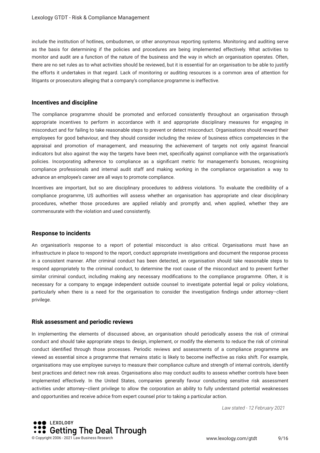include the institution of hotlines, ombudsmen, or other anonymous reporting systems. Monitoring and auditing serve as the basis for determining if the policies and procedures are being implemented effectively. What activities to monitor and audit are a function of the nature of the business and the way in which an organisation operates. Often, there are no set rules as to what activities should be reviewed, but it is essential for an organisation to be able to justify the efforts it undertakes in that regard. Lack of monitoring or auditing resources is a common area of attention for litigants or prosecutors alleging that a company's compliance programme is ineffective.

#### **Incentives and discipline**

The compliance programme should be promoted and enforced consistently throughout an organisation through appropriate incentives to perform in accordance with it and appropriate disciplinary measures for engaging in misconduct and for failing to take reasonable steps to prevent or detect misconduct. Organisations should reward their employees for good behaviour, and they should consider including the review of business ethics competencies in the appraisal and promotion of management, and measuring the achievement of targets not only against fnancial indicators but also against the way the targets have been met, specifcally against compliance with the organisation's policies. Incorporating adherence to compliance as a signifcant metric for management's bonuses, recognising compliance professionals and internal audit staff and making working in the compliance organisation a way to advance an employee's career are all ways to promote compliance.

Incentives are important, but so are disciplinary procedures to address violations. To evaluate the credibility of a compliance programme, US authorities will assess whether an organisation has appropriate and clear disciplinary procedures, whether those procedures are applied reliably and promptly and, when applied, whether they are commensurate with the violation and used consistently.

#### **Response to incidents**

An organisation's response to a report of potential misconduct is also critical. Organisations must have an infrastructure in place to respond to the report, conduct appropriate investigations and document the response process in a consistent manner. After criminal conduct has been detected, an organisation should take reasonable steps to respond appropriately to the criminal conduct, to determine the root cause of the misconduct and to prevent further similar criminal conduct, including making any necessary modifcations to the compliance programme. Often, it is necessary for a company to engage independent outside counsel to investigate potential legal or policy violations, particularly when there is a need for the organisation to consider the investigation fndings under attorney–client privilege.

#### **Risk assessment and periodic reviews**

In implementing the elements of discussed above, an organisation should periodically assess the risk of criminal conduct and should take appropriate steps to design, implement, or modify the elements to reduce the risk of criminal conduct identifed through those processes. Periodic reviews and assessments of a compliance programme are viewed as essential since a programme that remains static is likely to become ineffective as risks shift. For example, organisations may use employee surveys to measure their compliance culture and strength of internal controls, identify best practices and detect new risk areas. Organisations also may conduct audits to assess whether controls have been implemented effectively. In the United States, companies generally favour conducting sensitive risk assessment activities under attorney–client privilege to allow the corporation an ability to fully understand potential weaknesses and opportunities and receive advice from expert counsel prior to taking a particular action.



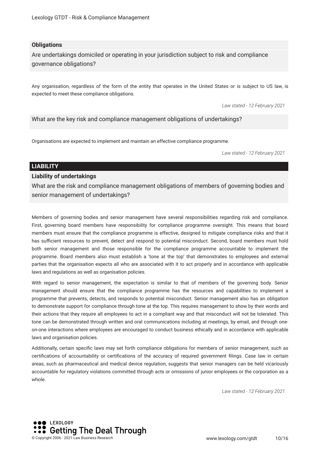#### **Obligations**

Are undertakings domiciled or operating in your jurisdiction subject to risk and compliance governance obligations?

Any organisation, regardless of the form of the entity that operates in the United States or is subject to US law, is expected to meet these compliance obligations.

*Law stated - 12 February 2021*

What are the key risk and compliance management obligations of undertakings?

Organisations are expected to implement and maintain an effective compliance programme.

*Law stated - 12 February 2021*

#### **LIABILITY**

#### **Liability of undertakings**

What are the risk and compliance management obligations of members of governing bodies and senior management of undertakings?

Members of governing bodies and senior management have several responsibilities regarding risk and compliance. First, governing board members have responsibility for compliance programme oversight. This means that board members must ensure that the compliance programme is effective, designed to mitigate compliance risks and that it has sufficient resources to prevent, detect and respond to potential misconduct. Second, board members must hold both senior management and those responsible for the compliance programme accountable to implement the programme. Board members also must establish a 'tone at the top' that demonstrates to employees and external parties that the organisation expects all who are associated with it to act properly and in accordance with applicable laws and regulations as well as organisation policies.

With regard to senior management, the expectation is similar to that of members of the governing body. Senior management should ensure that the compliance programme has the resources and capabilities to implement a programme that prevents, detects, and responds to potential misconduct. Senior management also has an obligation to demonstrate support for compliance through tone at the top. This requires management to show by their words and their actions that they require all employees to act in a compliant way and that misconduct will not be tolerated. This tone can be demonstrated through written and oral communications including at meetings, by email, and through oneon-one interactions where employees are encouraged to conduct business ethically and in accordance with applicable laws and organisation policies.

Additionally, certain specifc laws may set forth compliance obligations for members of senior management, such as certifcations of accountability or certifcations of the accuracy of required government flings. Case law in certain areas, such as pharmaceutical and medical device regulation, suggests that senior managers can be held vicariously accountable for regulatory violations committed through acts or omissions of junior employees or the corporation as a whole.

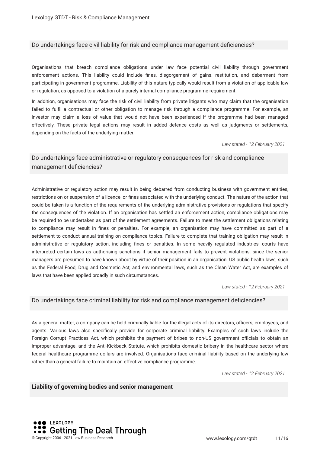#### Do undertakings face civil liability for risk and compliance management defciencies?

Organisations that breach compliance obligations under law face potential civil liability through government enforcement actions. This liability could include fnes, disgorgement of gains, restitution, and debarment from participating in government programme. Liability of this nature typically would result from a violation of applicable law or regulation, as opposed to a violation of a purely internal compliance programme requirement.

In addition, organisations may face the risk of civil liability from private litigants who may claim that the organisation failed to fulfl a contractual or other obligation to manage risk through a compliance programme. For example, an investor may claim a loss of value that would not have been experienced if the programme had been managed effectively. These private legal actions may result in added defence costs as well as judgments or settlements, depending on the facts of the underlying matter.

*Law stated - 12 February 2021*

#### Do undertakings face administrative or regulatory consequences for risk and compliance management deficiencies?

Administrative or regulatory action may result in being debarred from conducting business with government entities, restrictions on or suspension of a licence, or fnes associated with the underlying conduct. The nature of the action that could be taken is a function of the requirements of the underlying administrative provisions or regulations that specify the consequences of the violation. If an organisation has settled an enforcement action, compliance obligations may be required to be undertaken as part of the settlement agreements. Failure to meet the settlement obligations relating to compliance may result in fnes or penalties. For example, an organisation may have committed as part of a settlement to conduct annual training on compliance topics. Failure to complete that training obligation may result in administrative or regulatory action, including fnes or penalties. In some heavily regulated industries, courts have interpreted certain laws as authorising sanctions if senior management fails to prevent violations, since the senior managers are presumed to have known about by virtue of their position in an organisation. US public health laws, such as the Federal Food, Drug and Cosmetic Act, and environmental laws, such as the Clean Water Act, are examples of laws that have been applied broadly in such circumstances.

*Law stated - 12 February 2021*

#### Do undertakings face criminal liability for risk and compliance management defciencies?

As a general matter, a company can be held criminally liable for the illegal acts of its directors, officers, employees, and agents. Various laws also specifcally provide for corporate criminal liability. Examples of such laws include the Foreign Corrupt Practices Act, which prohibits the payment of bribes to non-US government officials to obtain an improper advantage, and the Anti-Kickback Statute, which prohibits domestic bribery in the healthcare sector where federal healthcare programme dollars are involved. Organisations face criminal liability based on the underlying law rather than a general failure to maintain an effective compliance programme.

*Law stated - 12 February 2021*

#### **Liability of governing bodies and senior management**

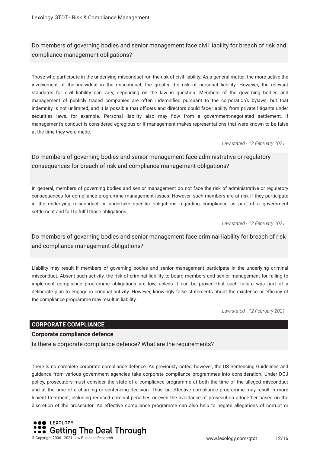Do members of governing bodies and senior management face civil liability for breach of risk and compliance management obligations?

Those who participate in the underlying misconduct run the risk of civil liability. As a general matter, the more active the involvement of the individual in the misconduct, the greater the risk of personal liability. However, the relevant standards for civil liability can vary, depending on the law in question. Members of the governing bodies and management of publicly traded companies are often indemnifed pursuant to the corporation's bylaws, but that indemnity is not unlimited, and it is possible that officers and directors could face liability from private litigants under securities laws, for example. Personal liability also may flow from a government-negotiated settlement, if management's conduct is considered egregious or if management makes representations that were known to be false at the time they were made.

*Law stated - 12 February 2021*

Do members of governing bodies and senior management face administrative or regulatory consequences for breach of risk and compliance management obligations?

In general, members of governing bodies and senior management do not face the risk of administrative or regulatory consequences for compliance programme management issues. However, such members are at risk if they participate in the underlying misconduct or undertake specifc obligations regarding compliance as part of a government settlement and fail to fulfl those obligations.

*Law stated - 12 February 2021*

Do members of governing bodies and senior management face criminal liability for breach of risk and compliance management obligations?

Liability may result if members of governing bodies and senior management participate in the underlying criminal misconduct. Absent such activity, the risk of criminal liability to board members and senior management for failing to implement compliance programme obligations are low, unless it can be proved that such failure was part of a deliberate plan to engage in criminal activity. However, knowingly false statements about the existence or efficacy of the compliance programme may result in liability.

*Law stated - 12 February 2021*

#### **CORPORATE COMPLIANCE**

#### **Corporate compliance defence**

Is there a corporate compliance defence? What are the requirements?

There is no complete corporate compliance defence. As previously noted, however, the US Sentencing Guidelines and guidance from various government agencies take corporate compliance programmes into consideration. Under DOJ policy, prosecutors must consider the state of a compliance programme at both the time of the alleged misconduct and at the time of a charging or sentencing decision. Thus, an effective compliance programme may result in more lenient treatment, including reduced criminal penalties or even the avoidance of prosecution altogether based on the discretion of the prosecutor. An effective compliance programme can also help to negate allegations of corrupt or

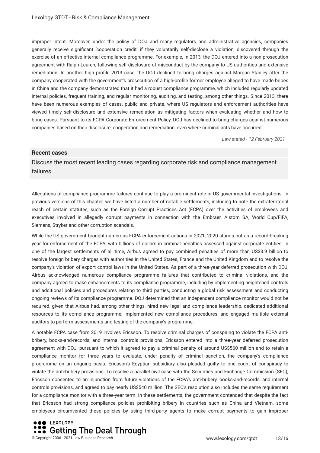improper intent. Moreover, under the policy of DOJ and many regulators and administrative agencies, companies generally receive signifcant 'cooperation credit' if they voluntarily self-disclose a violation, discovered through the exercise of an effective internal compliance programme. For example, in 2013, the DOJ entered into a non-prosecution agreement with Ralph Lauren, following self-disclosure of misconduct by the company to US authorities and extensive remediation. In another high profle 2013 case, the DOJ declined to bring charges against Morgan Stanley after the company cooperated with the government's prosecution of a high-profle former employee alleged to have made bribes in China and the company demonstrated that it had a robust compliance programme, which included regularly updated internal policies, frequent training, and regular monitoring, auditing, and testing, among other things. Since 2013, there have been numerous examples of cases, public and private, where US regulators and enforcement authorities have viewed timely self-disclosure and extensive remediation as mitigating factors when evaluating whether and how to bring cases. Pursuant to its FCPA Corporate Enforcement Policy, DOJ has declined to bring charges against numerous companies based on their disclosure, cooperation and remediation, even where criminal acts have occurred.

*Law stated - 12 February 2021*

#### **Recent cases**

Discuss the most recent leading cases regarding corporate risk and compliance management failures.

Allegations of compliance programme failures continue to play a prominent role in US governmental investigations. In previous versions of this chapter, we have listed a number of notable settlements, including to note the extraterritorial reach of certain statutes, such as the Foreign Corrupt Practices Act (FCPA) over the activities of employees and executives involved in allegedly corrupt payments in connection with the Embraer, Alstom SA, World Cup/FIFA, Siemens, Stryker and other corruption scandals.

While the US government brought numerous FCPA enforcement actions in 2021, 2020 stands out as a record-breaking year for enforcement of the FCPA, with billions of dollars in criminal penalties assessed against corporate entities. In one of the largest settlements of all time, Airbus agreed to pay combined penalties of more than US\$3.9 billion to resolve foreign bribery charges with authorities in the United States, France and the United Kingdom and to resolve the company's violation of export control laws in the United States. As part of a three-year deferred prosecution with DOJ, Airbus acknowledged numerous compliance programme failures that contributed to criminal violations, and the company agreed to make enhancements to its compliance programme, including by implementing heightened controls and additional policies and procedures relating to third parties, conducting a global risk assessment and conducting ongoing reviews of its compliance programme. DOJ determined that an independent compliance monitor would not be required, given that Airbus had, among other things, hired new legal and compliance leadership, dedicated additional resources to its compliance programme, implemented new compliance procedures, and engaged multiple external auditors to perform assessments and testing of the company's programme.

A notable FCPA case from 2019 involves Ericsson. To resolve criminal charges of conspiring to violate the FCPA antibribery, books-and-records, and internal controls provisions, Ericsson entered into a three-year deferred prosecution agreement with DOJ, pursuant to which it agreed to pay a criminal penalty of around US\$560 million and to retain a compliance monitor for three years to evaluate, under penalty of criminal sanction, the company's compliance programme on an ongoing basis. Ericsson's Egyptian subsidiary also pleaded guilty to one count of conspiracy to violate the anti-bribery provisions. To resolve a parallel civil case with the Securities and Exchange Commission (SEC), Ericsson consented to an injunction from future violations of the FCPA's anti-bribery, books-and-records, and internal controls provisions, and agreed to pay nearly US\$540 million. The SEC's resolution also includes the same requirement for a compliance monitor with a three-year term. In these settlements, the government contended that despite the fact that Ericsson had strong compliance policies prohibiting bribery in countries such as China and Vietnam, some employees circumvented these policies by using third-party agents to make corrupt payments to gain improper

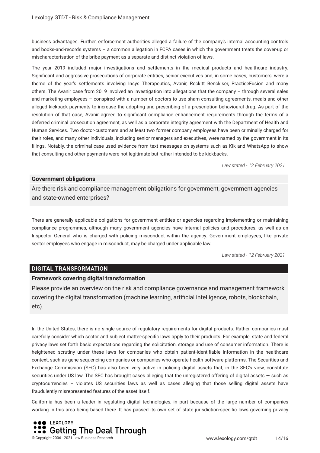business advantages. Further, enforcement authorities alleged a failure of the company's internal accounting controls and books-and-records systems – a common allegation in FCPA cases in which the government treats the cover-up or mischaracterisation of the bribe payment as a separate and distinct violation of laws.

The year 2019 included major investigations and settlements in the medical products and healthcare industry. Signifcant and aggressive prosecutions of corporate entities, senior executives and, in some cases, customers, were a theme of the year's settlements involving Insys Therapeutics, Avanir, Reckitt Benckiser, PracticeFusion and many others. The Avanir case from 2019 involved an investigation into allegations that the company – through several sales and marketing employees – conspired with a number of doctors to use sham consulting agreements, meals and other alleged kickback payments to increase the adopting and prescribing of a prescription behavioural drug. As part of the resolution of that case, Avanir agreed to signifcant compliance enhancement requirements through the terms of a deferred criminal prosecution agreement, as well as a corporate integrity agreement with the Department of Health and Human Services. Two doctor-customers and at least two former company employees have been criminally charged for their roles, and many other individuals, including senior managers and executives, were named by the government in its flings. Notably, the criminal case used evidence from text messages on systems such as Kik and WhatsApp to show that consulting and other payments were not legitimate but rather intended to be kickbacks.

*Law stated - 12 February 2021*

#### **Government obligations**

Are there risk and compliance management obligations for government, government agencies and state-owned enterprises?

There are generally applicable obligations for government entities or agencies regarding implementing or maintaining compliance programmes, although many government agencies have internal policies and procedures, as well as an Inspector General who is charged with policing misconduct within the agency. Government employees, like private sector employees who engage in misconduct, may be charged under applicable law.

*Law stated - 12 February 2021*

#### **DIGITAL TRANSFORMATION**

#### **Framework covering digital transformation**

Please provide an overview on the risk and compliance governance and management framework covering the digital transformation (machine learning, artifcial intelligence, robots, blockchain, etc).

In the United States, there is no single source of regulatory requirements for digital products. Rather, companies must carefully consider which sector and subject matter-specifc laws apply to their products. For example, state and federal privacy laws set forth basic expectations regarding the solicitation, storage and use of consumer information. There is heightened scrutiny under these laws for companies who obtain patient-identifable information in the healthcare context, such as gene sequencing companies or companies who operate health software platforms. The Securities and Exchange Commission (SEC) has also been very active in policing digital assets that, in the SEC's view, constitute securities under US law. The SEC has brought cases alleging that the unregistered offering of digital assets – such as cryptocurrencies – violates US securities laws as well as cases alleging that those selling digital assets have fraudulently misrepresented features of the asset itself.

California has been a leader in regulating digital technologies, in part because of the large number of companies working in this area being based there. It has passed its own set of state jurisdiction-specifc laws governing privacy

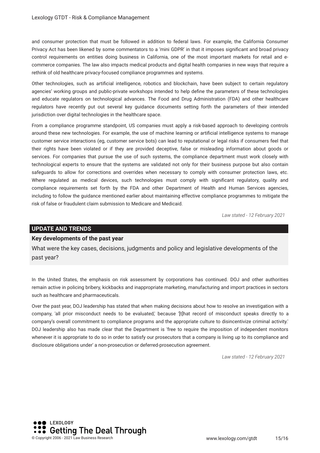and consumer protection that must be followed in addition to federal laws. For example, the California Consumer Privacy Act has been likened by some commentators to a 'mini GDPR' in that it imposes signifcant and broad privacy control requirements on entities doing business in California, one of the most important markets for retail and ecommerce companies. The law also impacts medical products and digital health companies in new ways that require a rethink of old healthcare privacy-focused compliance programmes and systems.

Other technologies, such as artifcial intelligence, robotics and blockchain, have been subject to certain regulatory agencies' working groups and public-private workshops intended to help defne the parameters of these technologies and educate regulators on technological advances. The Food and Drug Administration (FDA) and other healthcare regulators have recently put out several key guidance documents setting forth the parameters of their intended jurisdiction over digital technologies in the healthcare space.

From a compliance programme standpoint, US companies must apply a risk-based approach to developing controls around these new technologies. For example, the use of machine learning or artifcial intelligence systems to manage customer service interactions (eg, customer service bots) can lead to reputational or legal risks if consumers feel that their rights have been violated or if they are provided deceptive, false or misleading information about goods or services. For companies that pursue the use of such systems, the compliance department must work closely with technological experts to ensure that the systems are validated not only for their business purpose but also contain safeguards to allow for corrections and overrides when necessary to comply with consumer protection laws, etc. Where regulated as medical devices, such technologies must comply with significant regulatory, quality and compliance requirements set forth by the FDA and other Department of Health and Human Services agencies, including to follow the guidance mentioned earlier about maintaining effective compliance programmes to mitigate the risk of false or fraudulent claim submission to Medicare and Medicaid.

*Law stated - 12 February 2021*

#### **UPDATE AND TRENDS**

#### **Key developments of the past year**

What were the key cases, decisions, judgments and policy and legislative developments of the past year?

In the United States, the emphasis on risk assessment by corporations has continued. DOJ and other authorities remain active in policing bribery, kickbacks and inappropriate marketing, manufacturing and import practices in sectors such as healthcare and pharmaceuticals.

Over the past year, DOJ leadership has stated that when making decisions about how to resolve an investigation with a company, 'all prior misconduct needs to be evaluated,' because '[t]hat record of misconduct speaks directly to a company's overall commitment to compliance programs and the appropriate culture to disincentivize criminal activity.' DOJ leadership also has made clear that the Department is 'free to require the imposition of independent monitors whenever it is appropriate to do so in order to satisfy our prosecutors that a company is living up to its compliance and disclosure obligations under' a non-prosecution or deferred-prosecution agreement.